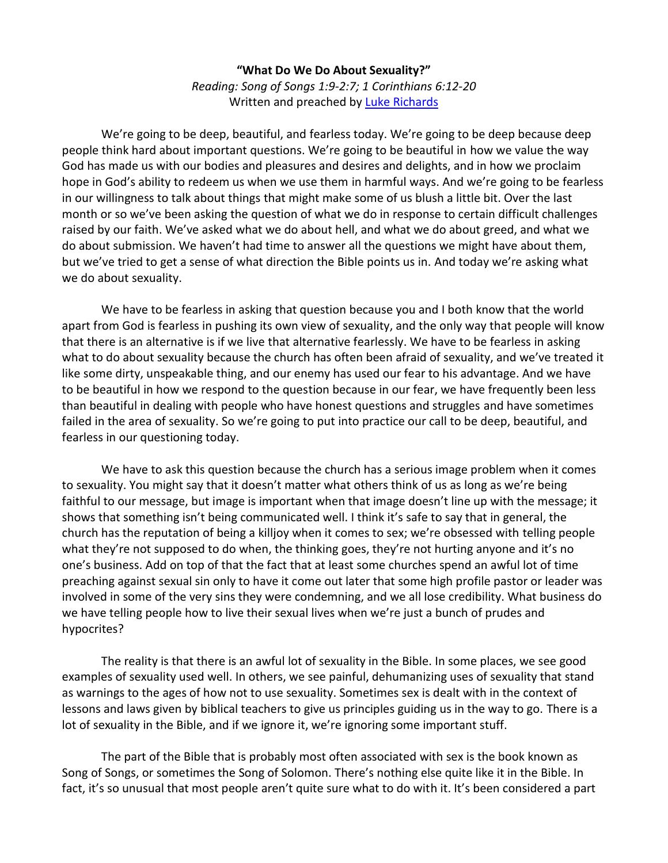## **"What Do We Do About Sexuality?"** *Reading: Song of Songs 1:9-2:7; 1 Corinthians 6:12-20* Written and preached by [Luke Richards](http://www.lukerichards.blogspot.com/)

We're going to be deep, beautiful, and fearless today. We're going to be deep because deep people think hard about important questions. We're going to be beautiful in how we value the way God has made us with our bodies and pleasures and desires and delights, and in how we proclaim hope in God's ability to redeem us when we use them in harmful ways. And we're going to be fearless in our willingness to talk about things that might make some of us blush a little bit. Over the last month or so we've been asking the question of what we do in response to certain difficult challenges raised by our faith. We've asked what we do about hell, and what we do about greed, and what we do about submission. We haven't had time to answer all the questions we might have about them, but we've tried to get a sense of what direction the Bible points us in. And today we're asking what we do about sexuality.

We have to be fearless in asking that question because you and I both know that the world apart from God is fearless in pushing its own view of sexuality, and the only way that people will know that there is an alternative is if we live that alternative fearlessly. We have to be fearless in asking what to do about sexuality because the church has often been afraid of sexuality, and we've treated it like some dirty, unspeakable thing, and our enemy has used our fear to his advantage. And we have to be beautiful in how we respond to the question because in our fear, we have frequently been less than beautiful in dealing with people who have honest questions and struggles and have sometimes failed in the area of sexuality. So we're going to put into practice our call to be deep, beautiful, and fearless in our questioning today.

We have to ask this question because the church has a serious image problem when it comes to sexuality. You might say that it doesn't matter what others think of us as long as we're being faithful to our message, but image is important when that image doesn't line up with the message; it shows that something isn't being communicated well. I think it's safe to say that in general, the church has the reputation of being a killjoy when it comes to sex; we're obsessed with telling people what they're not supposed to do when, the thinking goes, they're not hurting anyone and it's no one's business. Add on top of that the fact that at least some churches spend an awful lot of time preaching against sexual sin only to have it come out later that some high profile pastor or leader was involved in some of the very sins they were condemning, and we all lose credibility. What business do we have telling people how to live their sexual lives when we're just a bunch of prudes and hypocrites?

The reality is that there is an awful lot of sexuality in the Bible. In some places, we see good examples of sexuality used well. In others, we see painful, dehumanizing uses of sexuality that stand as warnings to the ages of how not to use sexuality. Sometimes sex is dealt with in the context of lessons and laws given by biblical teachers to give us principles guiding us in the way to go. There is a lot of sexuality in the Bible, and if we ignore it, we're ignoring some important stuff.

The part of the Bible that is probably most often associated with sex is the book known as Song of Songs, or sometimes the Song of Solomon. There's nothing else quite like it in the Bible. In fact, it's so unusual that most people aren't quite sure what to do with it. It's been considered a part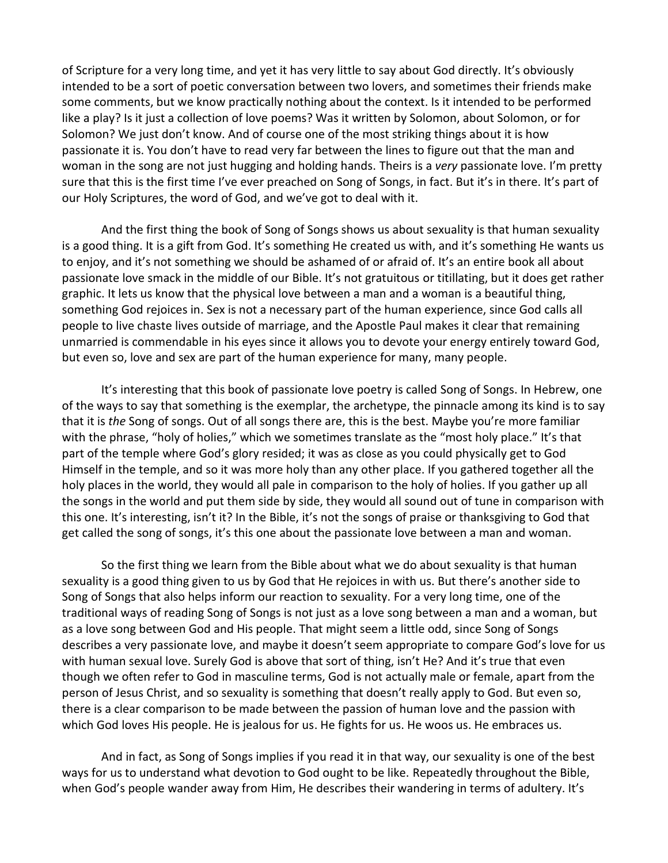of Scripture for a very long time, and yet it has very little to say about God directly. It's obviously intended to be a sort of poetic conversation between two lovers, and sometimes their friends make some comments, but we know practically nothing about the context. Is it intended to be performed like a play? Is it just a collection of love poems? Was it written by Solomon, about Solomon, or for Solomon? We just don't know. And of course one of the most striking things about it is how passionate it is. You don't have to read very far between the lines to figure out that the man and woman in the song are not just hugging and holding hands. Theirs is a *very* passionate love. I'm pretty sure that this is the first time I've ever preached on Song of Songs, in fact. But it's in there. It's part of our Holy Scriptures, the word of God, and we've got to deal with it.

And the first thing the book of Song of Songs shows us about sexuality is that human sexuality is a good thing. It is a gift from God. It's something He created us with, and it's something He wants us to enjoy, and it's not something we should be ashamed of or afraid of. It's an entire book all about passionate love smack in the middle of our Bible. It's not gratuitous or titillating, but it does get rather graphic. It lets us know that the physical love between a man and a woman is a beautiful thing, something God rejoices in. Sex is not a necessary part of the human experience, since God calls all people to live chaste lives outside of marriage, and the Apostle Paul makes it clear that remaining unmarried is commendable in his eyes since it allows you to devote your energy entirely toward God, but even so, love and sex are part of the human experience for many, many people.

It's interesting that this book of passionate love poetry is called Song of Songs. In Hebrew, one of the ways to say that something is the exemplar, the archetype, the pinnacle among its kind is to say that it is *the* Song of songs. Out of all songs there are, this is the best. Maybe you're more familiar with the phrase, "holy of holies," which we sometimes translate as the "most holy place." It's that part of the temple where God's glory resided; it was as close as you could physically get to God Himself in the temple, and so it was more holy than any other place. If you gathered together all the holy places in the world, they would all pale in comparison to the holy of holies. If you gather up all the songs in the world and put them side by side, they would all sound out of tune in comparison with this one. It's interesting, isn't it? In the Bible, it's not the songs of praise or thanksgiving to God that get called the song of songs, it's this one about the passionate love between a man and woman.

So the first thing we learn from the Bible about what we do about sexuality is that human sexuality is a good thing given to us by God that He rejoices in with us. But there's another side to Song of Songs that also helps inform our reaction to sexuality. For a very long time, one of the traditional ways of reading Song of Songs is not just as a love song between a man and a woman, but as a love song between God and His people. That might seem a little odd, since Song of Songs describes a very passionate love, and maybe it doesn't seem appropriate to compare God's love for us with human sexual love. Surely God is above that sort of thing, isn't He? And it's true that even though we often refer to God in masculine terms, God is not actually male or female, apart from the person of Jesus Christ, and so sexuality is something that doesn't really apply to God. But even so, there is a clear comparison to be made between the passion of human love and the passion with which God loves His people. He is jealous for us. He fights for us. He woos us. He embraces us.

And in fact, as Song of Songs implies if you read it in that way, our sexuality is one of the best ways for us to understand what devotion to God ought to be like. Repeatedly throughout the Bible, when God's people wander away from Him, He describes their wandering in terms of adultery. It's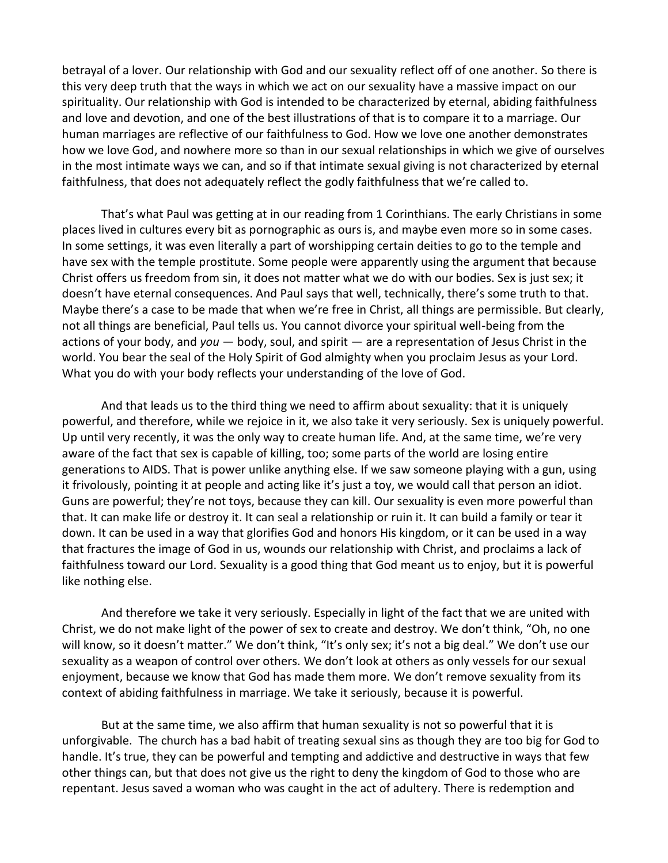betrayal of a lover. Our relationship with God and our sexuality reflect off of one another. So there is this very deep truth that the ways in which we act on our sexuality have a massive impact on our spirituality. Our relationship with God is intended to be characterized by eternal, abiding faithfulness and love and devotion, and one of the best illustrations of that is to compare it to a marriage. Our human marriages are reflective of our faithfulness to God. How we love one another demonstrates how we love God, and nowhere more so than in our sexual relationships in which we give of ourselves in the most intimate ways we can, and so if that intimate sexual giving is not characterized by eternal faithfulness, that does not adequately reflect the godly faithfulness that we're called to.

That's what Paul was getting at in our reading from 1 Corinthians. The early Christians in some places lived in cultures every bit as pornographic as ours is, and maybe even more so in some cases. In some settings, it was even literally a part of worshipping certain deities to go to the temple and have sex with the temple prostitute. Some people were apparently using the argument that because Christ offers us freedom from sin, it does not matter what we do with our bodies. Sex is just sex; it doesn't have eternal consequences. And Paul says that well, technically, there's some truth to that. Maybe there's a case to be made that when we're free in Christ, all things are permissible. But clearly, not all things are beneficial, Paul tells us. You cannot divorce your spiritual well-being from the actions of your body, and *you* — body, soul, and spirit — are a representation of Jesus Christ in the world. You bear the seal of the Holy Spirit of God almighty when you proclaim Jesus as your Lord. What you do with your body reflects your understanding of the love of God.

And that leads us to the third thing we need to affirm about sexuality: that it is uniquely powerful, and therefore, while we rejoice in it, we also take it very seriously. Sex is uniquely powerful. Up until very recently, it was the only way to create human life. And, at the same time, we're very aware of the fact that sex is capable of killing, too; some parts of the world are losing entire generations to AIDS. That is power unlike anything else. If we saw someone playing with a gun, using it frivolously, pointing it at people and acting like it's just a toy, we would call that person an idiot. Guns are powerful; they're not toys, because they can kill. Our sexuality is even more powerful than that. It can make life or destroy it. It can seal a relationship or ruin it. It can build a family or tear it down. It can be used in a way that glorifies God and honors His kingdom, or it can be used in a way that fractures the image of God in us, wounds our relationship with Christ, and proclaims a lack of faithfulness toward our Lord. Sexuality is a good thing that God meant us to enjoy, but it is powerful like nothing else.

And therefore we take it very seriously. Especially in light of the fact that we are united with Christ, we do not make light of the power of sex to create and destroy. We don't think, "Oh, no one will know, so it doesn't matter." We don't think, "It's only sex; it's not a big deal." We don't use our sexuality as a weapon of control over others. We don't look at others as only vessels for our sexual enjoyment, because we know that God has made them more. We don't remove sexuality from its context of abiding faithfulness in marriage. We take it seriously, because it is powerful.

But at the same time, we also affirm that human sexuality is not so powerful that it is unforgivable. The church has a bad habit of treating sexual sins as though they are too big for God to handle. It's true, they can be powerful and tempting and addictive and destructive in ways that few other things can, but that does not give us the right to deny the kingdom of God to those who are repentant. Jesus saved a woman who was caught in the act of adultery. There is redemption and